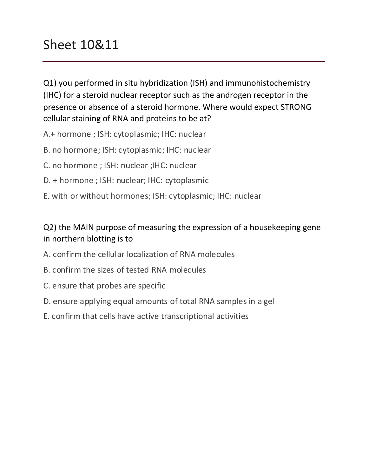# Sheet 10&11

Q1) you performed in situ hybridization (ISH) and immunohistochemistry (IHC) for a steroid nuclear receptor such as the androgen receptor in the presence or absence of a steroid hormone. Where would expect STRONG cellular staining of RNA and proteins to be at?

A.+ hormone ; ISH: cytoplasmic; IHC: nuclear

- B. no hormone; ISH: cytoplasmic; IHC: nuclear
- C. no hormone ; ISH: nuclear ; IHC: nuclear
- D. + hormone ; ISH: nuclear; IHC: cytoplasmic
- E. with or without hormones; ISH: cytoplasmic; IHC: nuclear

#### Q2) the MAIN purpose of measuring the expression of a housekeeping gene in northern blotting is to

- A. confirm the cellular localization of RNA molecules
- B. confirm the sizes of tested RNA molecules
- C. ensure that probes are specific
- D. ensure applying equal amounts of total RNA samples in a gel
- E. confirm that cells have active transcriptional activities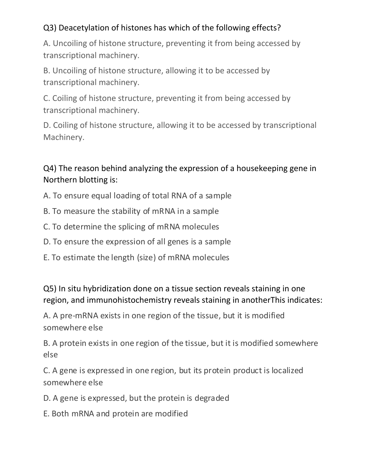## Q3) Deacetylation of histones has which of the following effects?

A. Uncoiling of histone structure, preventing it from being accessed by transcriptional machinery.

B. Uncoiling of histone structure, allowing it to be accessed by transcriptional machinery.

C. Coiling of histone structure, preventing it from being accessed by transcriptional machinery.

D. Coiling of histone structure, allowing it to be accessed by transcriptional Machinery.

Q4) The reason behind analyzing the expression of a housekeeping gene in Northern blotting is:

- A. To ensure equal loading of total RNA of a sample
- B. To measure the stability of mRNA in a sample
- C. To determine the splicing of mRNA molecules
- D. To ensure the expression of all genes is a sample
- E. To estimate the length (size) of mRNA molecules

#### Q5) In situ hybridization done on a tissue section reveals staining in one region, and immunohistochemistry reveals staining in anotherThis indicates:

A. A pre-mRNA exists in one region of the tissue, but it is modified somewhere else

B. A protein exists in one region of the tissue, but it is modified somewhere else

C. A gene is expressed in one region, but its protein product is localized somewhere else

D. A gene is expressed, but the protein is degraded

E. Both mRNA and protein are modified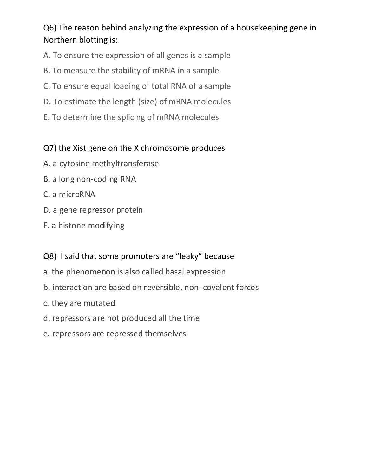## Q6) The reason behind analyzing the expression of a housekeeping gene in Northern blotting is:

- A. To ensure the expression of all genes is a sample
- B. To measure the stability of mRNA in a sample
- C. To ensure equal loading of total RNA of a sample
- D. To estimate the length (size) of mRNA molecules
- E. To determine the splicing of mRNA molecules

#### Q7) the Xist gene on the X chromosome produces

- A. a cytosine methyltransferase
- B. a long non-coding RNA
- C. a microRNA
- D. a gene repressor protein
- E. a histone modifying

#### Q8) I said that some promoters are "leaky" because

- a. the phenomenon is also called basal expression
- b. interaction are based on reversible, non- covalent forces
- c. they are mutated
- d. repressors are not produced all the time
- e. repressors are repressed themselves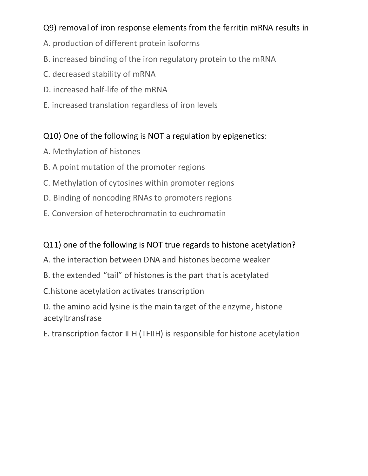#### Q9) removal of iron response elements from the ferritin mRNA results in

- A. production of different protein isoforms
- B. increased binding of the iron regulatory protein to the mRNA
- C. decreased stability of mRNA
- D. increased half-life of the mRNA
- E. increased translation regardless of iron levels

#### Q10) One of the following is NOT a regulation by epigenetics:

- A. Methylation of histones
- B. A point mutation of the promoter regions
- C. Methylation of cytosines within promoter regions
- D. Binding of noncoding RNAs to promoters regions
- E. Conversion of heterochromatin to euchromatin

#### Q11) one of the following is NOT true regards to histone acetylation?

- A. the interaction between DNA and histones become weaker
- B. the extended "tail" of histones is the part that is acetylated
- C. histone acetylation activates transcription
- D. the amino acid lysine is the main target of the enzyme, histone acetyltransfrase
- E. transcription factor II H (TFIIH) is responsible for histone acetylation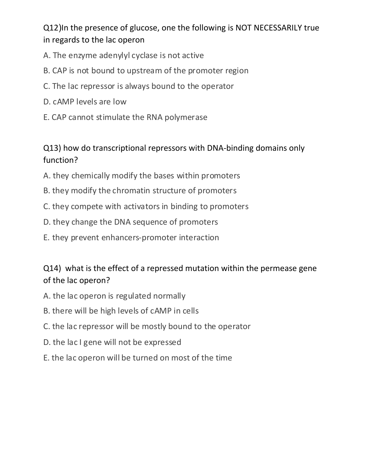Q12)In the presence of glucose, one the following is NOT NECESSARILY true in regards to the lac operon

- A. The enzyme adenylyl cyclase is not active
- B. CAP is not bound to upstream of the promoter region
- C. The lac repressor is always bound to the operator
- D. cAMP levels are low
- E. CAP cannot stimulate the RNA polymerase

#### Q13) how do transcriptional repressors with DNA-binding domains only function?

- A. they chemically modify the bases within promoters
- B. they modify the chromatin structure of promoters
- C. they compete with activators in binding to promoters
- D. they change the DNA sequence of promoters
- E. they prevent enhancers-promoter interaction

### Q14) what is the effect of a repressed mutation within the permease gene of the lac operon?

- A. the lac operon is regulated normally
- B. there will be high levels of cAMP in cells
- C. the lac repressor will be mostly bound to the operator
- D. the lac I gene will not be expressed
- E. the lac operon will be turned on most of the time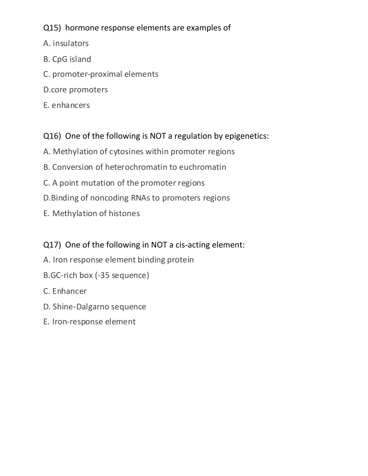#### Q15) hormone response elements are examples of

- A. insulators
- B. CpG island
- C. promoter-proximal elements
- D.core promoters
- E. enhancers

# Q16) One of the following is NOT a regulation by epigenetics:

- A. Methylation of cytosines within promoter regions
- B. Conversion of heterochromatin to euchromatin
- C. A point mutation of the promoter regions
- D. Binding of noncoding RNAs to promoters regions
- E. Methylation of histones

## Q17) One of the following in NOT a cis-acting element:

- A. Iron response element binding protein
- B.GC-rich box (-35 sequence)
- C. Enhancer
- D. Shine-Dalgarno sequence
- E. Iron-response element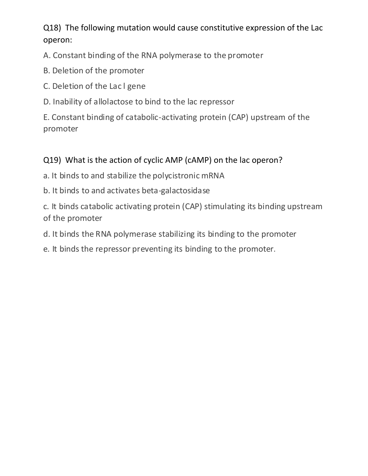Q18) The following mutation would cause constitutive expression of the Lac operon:

A. Constant binding of the RNA polymerase to the promoter

- B. Deletion of the promoter
- C. Deletion of the Lac I gene
- D. Inability of allolactose to bind to the lac repressor

E. Constant binding of catabolic-activating protein (CAP) upstream of the promoter

#### Q19) What is the action of cyclic AMP (cAMP) on the lac operon?

- a. It binds to and stabilize the polycistronic mRNA
- b. It binds to and activates beta-galactosidase

c. It binds catabolic activating protein (CAP) stimulating its binding upstream of the promoter

- d. It binds the RNA polymerase stabilizing its binding to the promoter
- e. It binds the repressor preventing its binding to the promoter.